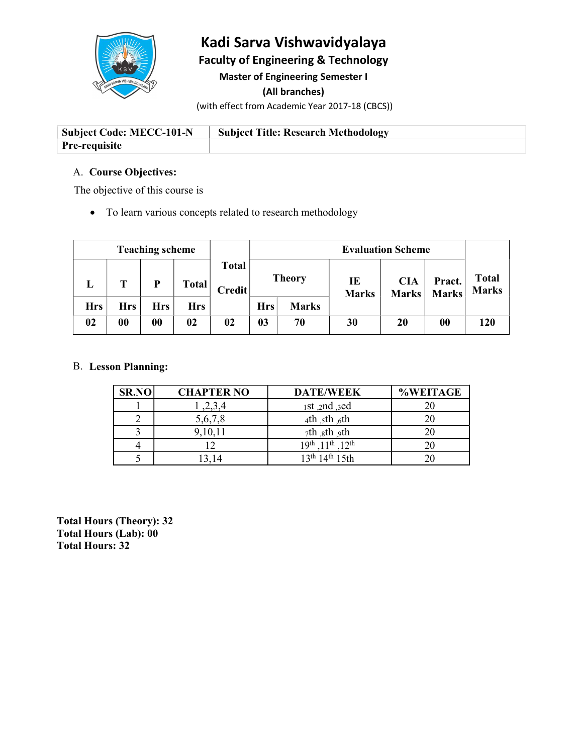

# Kadi Sarva Vishwavidyalaya

Faculty of Engineering & Technology

Master of Engineering Semester I

(All branches)

(with effect from Academic Year 2017-18 (CBCS))

| Subject Code: MECC-101-N | <b>Subject Title: Research Methodology</b> |
|--------------------------|--------------------------------------------|
| <b>Pre-requisite</b>     |                                            |

# A. Course Objectives:

The objective of this course is

To learn various concepts related to research methodology

| <b>Teaching scheme</b> |     |     |              | <b>Evaluation Scheme</b> |                |              |                    |                     |                        |                              |
|------------------------|-----|-----|--------------|--------------------------|----------------|--------------|--------------------|---------------------|------------------------|------------------------------|
| ≖                      |     | D   | <b>Total</b> | Total<br><b>Credit</b>   | <b>Theory</b>  |              | IE<br><b>Marks</b> | <b>CIA</b><br>Marks | Pract.<br><b>Marks</b> | <b>Total</b><br><b>Marks</b> |
| <b>Hrs</b>             | Hrs | Hrs | <b>Hrs</b>   |                          | <b>Hrs</b>     | <b>Marks</b> |                    |                     |                        |                              |
| 02                     | 00  | 00  | 02           | 02                       | 0 <sub>3</sub> | 70           | 30                 | 20                  | $\boldsymbol{00}$      | 120                          |

# B. Lesson Planning:

| <b>SR.NO</b> | <b>CHAPTER NO</b> | <b>DATE/WEEK</b>                       | <b>%WEITAGE</b> |
|--------------|-------------------|----------------------------------------|-----------------|
|              | ,2,3,4            | 1st, 2nd, 3ed                          | 20              |
|              | 5,6,7,8           | 4th $_5$ th $_6$ th                    | 20              |
|              | 9,10,11           | 7th sth 9th                            | 20              |
|              |                   | $1$ th $12$ th<br>19 <sup>th</sup>     | 20              |
|              | 13,14             | 13 <sup>th</sup> 14 <sup>th</sup> 15th | 20              |

Total Hours (Theory): 32 Total Hours (Lab): 00 Total Hours: 32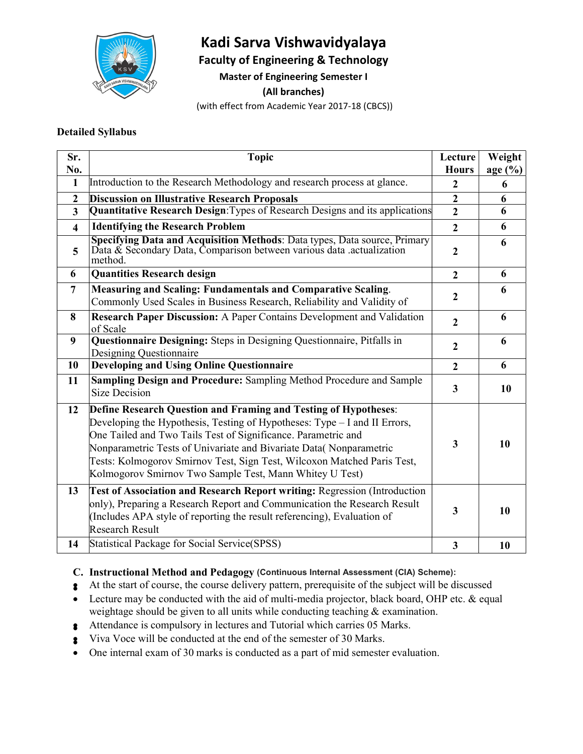

# Kadi Sarva Vishwavidyalaya

Faculty of Engineering & Technology

Master of Engineering Semester I

(All branches)

(with effect from Academic Year 2017-18 (CBCS))

#### Detailed Syllabus

| Sr.<br>No.              | <b>Topic</b>                                                                                                                                                                                                                                                                                                                                                                                                              | Lecture<br><b>Hours</b> | Weight<br>age(%) |  |
|-------------------------|---------------------------------------------------------------------------------------------------------------------------------------------------------------------------------------------------------------------------------------------------------------------------------------------------------------------------------------------------------------------------------------------------------------------------|-------------------------|------------------|--|
| $\mathbf{1}$            | Introduction to the Research Methodology and research process at glance.                                                                                                                                                                                                                                                                                                                                                  | $\overline{2}$          | 6                |  |
| $\boldsymbol{2}$        | <b>Discussion on Illustrative Research Proposals</b>                                                                                                                                                                                                                                                                                                                                                                      | $\overline{2}$          | 6                |  |
| 3                       | Quantitative Research Design: Types of Research Designs and its applications                                                                                                                                                                                                                                                                                                                                              | $\overline{2}$          | 6                |  |
| $\overline{\mathbf{4}}$ | <b>Identifying the Research Problem</b>                                                                                                                                                                                                                                                                                                                                                                                   | $\overline{2}$          | 6                |  |
| 5                       | Specifying Data and Acquisition Methods: Data types, Data source, Primary<br>Data & Secondary Data, Comparison between various data .actualization<br>method.                                                                                                                                                                                                                                                             | $\mathbf{2}$            | 6                |  |
| 6                       | <b>Quantities Research design</b>                                                                                                                                                                                                                                                                                                                                                                                         | $\overline{2}$          | 6                |  |
| 7                       | Measuring and Scaling: Fundamentals and Comparative Scaling.<br>Commonly Used Scales in Business Research, Reliability and Validity of                                                                                                                                                                                                                                                                                    | $\mathbf{2}$            | 6                |  |
| 8                       | Research Paper Discussion: A Paper Contains Development and Validation<br>of Scale                                                                                                                                                                                                                                                                                                                                        | $\overline{2}$          | 6                |  |
| 9                       | Questionnaire Designing: Steps in Designing Questionnaire, Pitfalls in<br>Designing Questionnaire                                                                                                                                                                                                                                                                                                                         | $\overline{2}$          | 6                |  |
| 10                      | <b>Developing and Using Online Questionnaire</b>                                                                                                                                                                                                                                                                                                                                                                          | $\overline{2}$          | 6                |  |
| 11                      | Sampling Design and Procedure: Sampling Method Procedure and Sample<br><b>Size Decision</b>                                                                                                                                                                                                                                                                                                                               | 3 <sup>1</sup>          | 10               |  |
| 12                      | Define Research Question and Framing and Testing of Hypotheses:<br>Developing the Hypothesis, Testing of Hypotheses: Type – I and II Errors,<br>One Tailed and Two Tails Test of Significance. Parametric and<br>Nonparametric Tests of Univariate and Bivariate Data(Nonparametric<br>Tests: Kolmogorov Smirnov Test, Sign Test, Wilcoxon Matched Paris Test,<br>Kolmogorov Smirnov Two Sample Test, Mann Whitey U Test) | 3                       | 10               |  |
| 13                      | <b>Test of Association and Research Report writing: Regression (Introduction</b><br>only), Preparing a Research Report and Communication the Research Result<br>Includes APA style of reporting the result referencing), Evaluation of<br>Research Result                                                                                                                                                                 | 3 <sup>1</sup>          | 10               |  |
| 14                      | Statistical Package for Social Service(SPSS)                                                                                                                                                                                                                                                                                                                                                                              | $\overline{\mathbf{3}}$ | 10               |  |
|                         |                                                                                                                                                                                                                                                                                                                                                                                                                           |                         |                  |  |

# C. Instructional Method and Pedagogy (Continuous Internal Assessment (CIA) Scheme):

- At the start of course, the course delivery pattern, prerequisite of the subject will be discussed
- Lecture may be conducted with the aid of multi-media projector, black board, OHP etc. & equal weightage should be given to all units while conducting teaching & examination.
- Attendance is compulsory in lectures and Tutorial which carries 05 Marks.
- Viva Voce will be conducted at the end of the semester of 30 Marks.
- One internal exam of 30 marks is conducted as a part of mid semester evaluation.